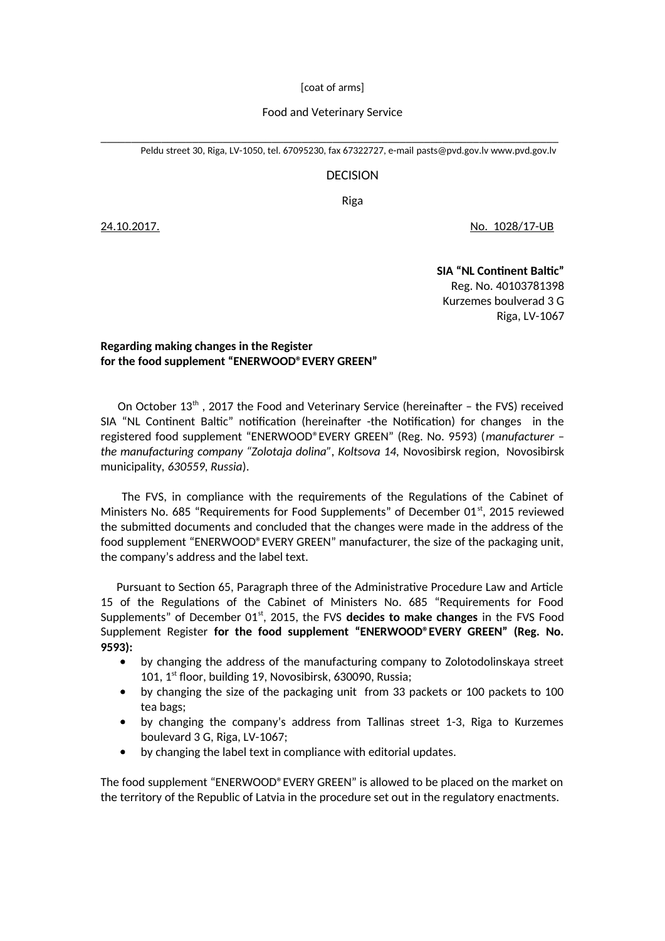[coat of arms]

## Food and Veterinary Service

\_\_\_\_\_\_\_\_\_\_\_\_\_\_\_\_\_\_\_\_\_\_\_\_\_\_\_\_\_\_\_\_\_\_\_\_\_\_\_\_\_\_\_\_\_\_\_\_\_\_\_\_\_\_\_\_\_\_\_\_\_\_\_\_\_\_\_\_\_\_\_\_\_\_\_ Peldu street 30, Riga, LV-1050, tel. 67095230, fax 67322727, e-mail [pasts@pvd.gov](mailto:pasts@pvd.gov).lv [www.pvd.gov.lv](http://www.pvd.gov.lv/)

## DECISION

Riga

24.10.2017. No. 1028/17-UB

**SIA "NL Continent Baltic"** Reg. No. 40103781398 Kurzemes boulverad 3 G Riga, LV-1067

## **Regarding making changes in the Register for the food supplement "ENERWOOD®EVERY GREEN"**

On October  $13<sup>th</sup>$ , 2017 the Food and Veterinary Service (hereinafter – the FVS) received SIA "NL Continent Baltic" notification (hereinafter -the Notification) for changes in the registered food supplement "ENERWOOD®EVERY GREEN" (Reg. No. 9593) (*manufacturer – the manufacturing company "Zolotaja dolina", Koltsova 14,* Novosibirsk region, Novosibirsk municipality*, 630559, Russia*).

 The FVS, in compliance with the requirements of the Regulations of the Cabinet of Ministers No. 685 "Requirements for Food Supplements" of December 01<sup>st</sup>, 2015 reviewed the submitted documents and concluded that the changes were made in the address of the food supplement "ENERWOOD®EVERY GREEN" manufacturer, the size of the packaging unit, the company's address and the label text.

 Pursuant to Section 65, Paragraph three of the Administrative Procedure Law and Article 15 of the Regulations of the Cabinet of Ministers No. 685 "Requirements for Food Supplements" of December 01<sup>st</sup>, 2015, the FVS decides to make changes in the FVS Food Supplement Register **for the food supplement "ENERWOOD®EVERY GREEN" (Reg. No. 9593):**

- by changing the address of the manufacturing company to Zolotodolinskaya street 101, 1st floor, building 19, Novosibirsk, 630090, Russia;
- by changing the size of the packaging unit from 33 packets or 100 packets to 100 tea bags;
- by changing the company's address from Tallinas street 1-3, Riga to Kurzemes boulevard 3 G, Riga, LV-1067;
- by changing the label text in compliance with editorial updates.

The food supplement "ENERWOOD®EVERY GREEN" is allowed to be placed on the market on the territory of the Republic of Latvia in the procedure set out in the regulatory enactments.